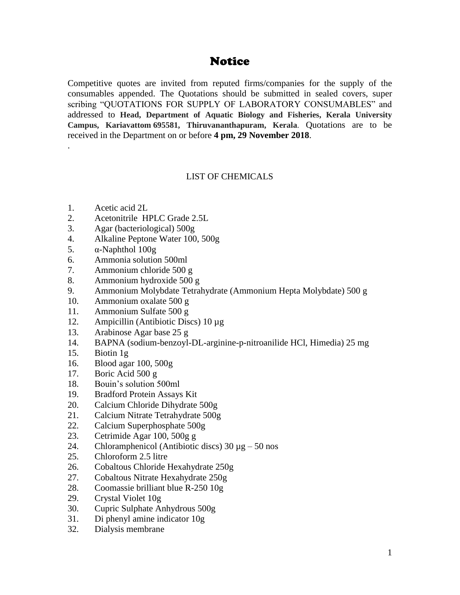# Notice

Competitive quotes are invited from reputed firms/companies for the supply of the consumables appended. The Quotations should be submitted in sealed covers, super scribing "QUOTATIONS FOR SUPPLY OF LABORATORY CONSUMABLES" and addressed to **Head, Department of Aquatic Biology and Fisheries, Kerala University Campus, Kariavattom 695581, Thiruvananthapuram, Kerala**. Quotations are to be received in the Department on or before **4 pm, 29 November 2018**.

## LIST OF CHEMICALS

1. Acetic acid 2L

.

- 2. Acetonitrile HPLC Grade 2.5L
- 3. Agar (bacteriological) 500g
- 4. Alkaline Peptone Water 100, 500g
- 5. α-Naphthol 100g
- 6. Ammonia solution 500ml
- 7. Ammonium chloride 500 g
- 8. Ammonium hydroxide 500 g
- 9. Ammonium Molybdate Tetrahydrate (Ammonium Hepta Molybdate) 500 g
- 10. Ammonium oxalate 500 g
- 11. Ammonium Sulfate 500 g
- 12. Ampicillin (Antibiotic Discs) 10 µg
- 13. Arabinose Agar base 25 g
- 14. BAPNA (sodium-benzoyl-DL-arginine-p-nitroanilide HCl, Himedia) 25 mg
- 15. Biotin 1g
- 16. Blood agar 100, 500g
- 17. Boric Acid 500 g
- 18. Bouin's solution 500ml
- 19. Bradford Protein Assays Kit
- 20. Calcium Chloride Dihydrate 500g
- 21. Calcium Nitrate Tetrahydrate 500g
- 22. Calcium Superphosphate 500g
- 23. Cetrimide Agar 100, 500g g
- 24. Chloramphenicol (Antibiotic discs)  $30 \mu$ g 50 nos
- 25. Chloroform 2.5 litre
- 26. Cobaltous Chloride Hexahydrate 250g
- 27. Cobaltous Nitrate Hexahydrate 250g
- 28. Coomassie brilliant blue R-250 10g
- 29. Crystal Violet 10g
- 30. Cupric Sulphate Anhydrous 500g
- 31. Di phenyl amine indicator 10g
- 32. Dialysis membrane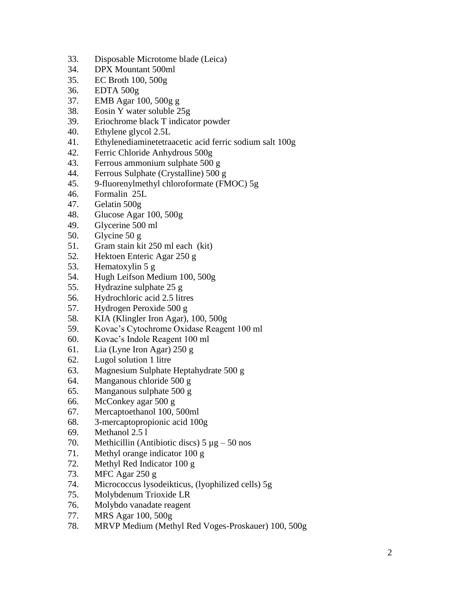- 33. Disposable Microtome blade (Leica)
- 34. DPX Mountant 500ml
- 35. EC Broth 100, 500g
- 36. EDTA 500g
- 37. EMB Agar 100, 500g g
- 38. Eosin Y water soluble 25g
- 39. Eriochrome black T indicator powder
- 40. Ethylene glycol 2.5L
- 41. Ethylenediaminetetraacetic acid ferric sodium salt 100g
- 42. Ferric Chloride Anhydrous 500g
- 43. Ferrous ammonium sulphate 500 g
- 44. Ferrous Sulphate (Crystalline) 500 g
- 45. 9 -fluorenylmethyl chloroformate (FMOC) 5g
- 46. Formalin 25L
- 47. Gelatin 500g
- 48. Glucose Agar 100, 500g
- 49. Glycerine 500 ml
- 50. Glycine 50 g
- 51. Gram stain kit 250 ml each (kit)
- 52. Hektoen Enteric Agar 250 g
- 53. Hematoxylin 5 g
- 54. Hugh Leifson Medium 100, 500g
- 55. Hydrazine sulphate 25 g
- 56. Hydrochloric acid 2.5 litres
- 57. Hydrogen Peroxide 500 g
- 58. KIA (Klingler Iron Agar), 100, 500g
- 59. Kovac's Cytochrome Oxidase Reagent 100 ml
- 60. Kovac's Indole Reagent 100 ml
- 61. Lia (Lyne Iron Agar) 250 g
- 62. Lugol solution 1 litre
- 63. Magnesium Sulphate Heptahydrate 500 g
- 64. Manganous chloride 500 g
- 65. Manganous sulphate 500 g
- 66. McConkey agar 500 g
- 67. Mercaptoethanol 100, 500ml
- 68. 3 -mercaptopropionic acid 100g
- 69. Methanol 2.5 l
- 70. Methicillin (Antibiotic discs)  $5 \mu g 50$  nos
- 71. Methyl orange indicator 100 g
- 72. Methyl Red Indicator 100 g
- 73. MFC Agar 250 g
- 74. Micrococcus lysodeikticus, (lyophilized cells) 5g
- 75. Molybdenum Trioxide LR
- 76. Molybdo vanadate reagent
- 77. MRS Agar 100, 500g
- 78. MRVP Medium (Methyl Red Voges -Proskauer) 100, 500g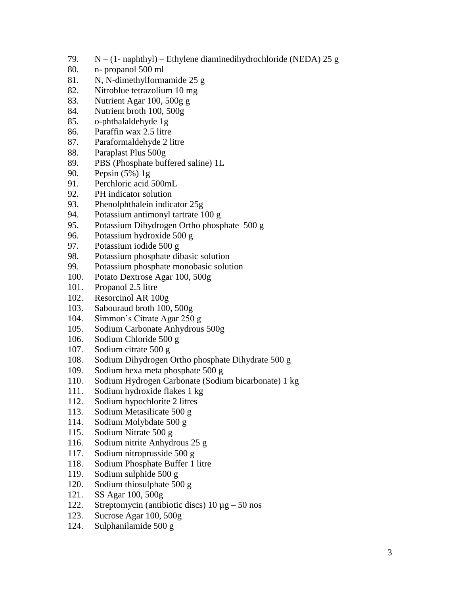- 79.  $N (1 n\text{aphthyl}) Ethylene diaminedi hydrochloride (NEDA) 25 g$
- 80. n- propanol 500 ml
- 81. N, N-dimethylformamide 25 g
- 82. Nitroblue tetrazolium 10 mg
- 83. Nutrient Agar 100, 500g g
- 84. Nutrient broth 100, 500g
- 85. o-phthalaldehyde 1g
- 86. Paraffin wax 2.5 litre
- 87. Paraformaldehyde 2 litre
- 88. Paraplast Plus 500g
- 89. PBS (Phosphate buffered saline) 1L
- 90. Pepsin (5%) 1g
- 91. Perchloric acid 500mL
- 92. PH indicator solution
- 93. Phenolphthalein indicator 25g
- 94. Potassium antimonyl tartrate 100 g
- 95. Potassium Dihydrogen Ortho phosphate 500 g
- 96. Potassium hydroxide 500 g
- 97. Potassium iodide 500 g
- 98. Potassium phosphate dibasic solution
- 99. Potassium phosphate monobasic solution
- 100. Potato Dextrose Agar 100, 500g
- 101. Propanol 2.5 litre
- 102. Resorcinol AR 100g
- 103. Sabouraud broth 100, 500g
- 104. Simmon's Citrate Agar 250 g
- 105. Sodium Carbonate Anhydrous 500g
- 106. Sodium Chloride 500 g
- 107. Sodium citrate 500 g
- 108. Sodium Dihydrogen Ortho phosphate Dihydrate 500 g
- 109. Sodium hexa meta phosphate 500 g
- 110. Sodium Hydrogen Carbonate (Sodium bicarbonate) 1 kg
- 111. Sodium hydroxide flakes 1 kg
- 112. Sodium hypochlorite 2 litres
- 113. Sodium Metasilicate 500 g
- 114. Sodium Molybdate 500 g
- 115. Sodium Nitrate 500 g
- 116. Sodium nitrite Anhydrous 25 g
- 117. Sodium nitroprusside 500 g
- 118. Sodium Phosphate Buffer 1 litre
- 119. Sodium sulphide 500 g
- 120. Sodium thiosulphate 500 g
- 121. SS Agar 100, 500g
- 122. Streptomycin (antibiotic discs)  $10 \mu$ g 50 nos
- 123. Sucrose Agar 100, 500g
- 124. Sulphanilamide 500 g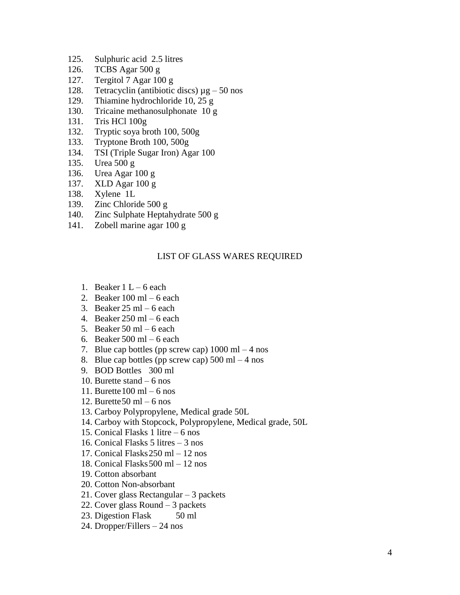- 125. Sulphuric acid 2.5 litres
- 126. TCBS Agar 500 g
- 127. Tergitol 7 Agar 100 g
- 128. Tetracyclin (antibiotic discs)  $\mu$ g 50 nos
- 129. Thiamine hydrochloride 10, 25 g
- 130. Tricaine methanosulphonate 10 g
- 131. Tris HCl 100g
- 132. Tryptic soya broth 100, 500g
- 133. Tryptone Broth 100, 500g
- 134. TSI (Triple Sugar Iron) Agar 100
- 135. Urea 500 g
- 136. Urea Agar 100 g
- 137. XLD Agar 100 g
- 138. Xylene 1L
- 139. Zinc Chloride 500 g
- 140. Zinc Sulphate Heptahydrate 500 g
- 141. Zobell marine agar 100 g

### LIST OF GLASS WARES REQUIRED

- 1. Beaker  $1 L 6$  each
- 2. Beaker  $100 \text{ ml} 6$  each
- 3. Beaker  $25 \text{ ml} 6$  each
- 4. Beaker 250 ml 6 each
- 5. Beaker 50 ml  $-6$  each
- 6. Beaker 500 ml 6 each
- 7. Blue cap bottles (pp screw cap)  $1000 \text{ ml} 4 \text{ nos}$
- 8. Blue cap bottles (pp screw cap)  $500 \text{ ml} 4 \text{ nos}$
- 9. BOD Bottles 300 ml
- 10. Burette stand 6 nos
- 11. Burette  $100 \text{ ml} 6 \text{ nos}$
- 12. Burette  $50 \text{ ml} 6 \text{ nos}$
- 13. Carboy Polypropylene, Medical grade 50L
- 14. Carboy with Stopcock, Polypropylene, Medical grade, 50L
- 15. Conical Flasks 1 litre 6 nos
- 16. Conical Flasks 5 litres 3 nos
- 17. Conical Flasks250 ml 12 nos
- 18. Conical Flasks500 ml 12 nos
- 19. Cotton absorbant
- 20. Cotton Non-absorbant
- 21. Cover glass Rectangular 3 packets
- 22. Cover glass Round 3 packets
- 23. Digestion Flask 50 ml
- 24. Dropper/Fillers 24 nos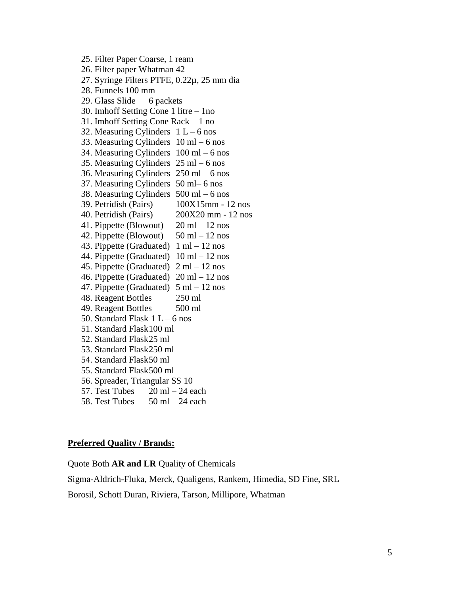25. Filter Paper Coarse, 1 ream 26. Filter paper Whatman 42 27. Syringe Filters PTFE, 0.22µ, 25 mm dia 28. Funnels 100 mm 29. Glass Slide 6 packets 30. Imhoff Setting Cone 1 litre – 1no 31. Imhoff Setting Cone Rack – 1 no 32. Measuring Cylinders  $1 L - 6$  nos 33. Measuring Cylinders  $10 \text{ ml} - 6 \text{ nos}$ 34. Measuring Cylinders 100 ml – 6 nos 35. Measuring Cylinders 25 ml – 6 nos 36. Measuring Cylinders 250 ml – 6 nos 37. Measuring Cylinders 50 ml– 6 nos 38. Measuring Cylinders 500 ml – 6 nos 39. Petridish (Pairs) 100X15mm - 12 nos 40. Petridish (Pairs) 200X20 mm - 12 nos 41. Pippette (Blowout)  $20 \text{ ml} - 12 \text{ nos}$ 42. Pippette (Blowout)  $50 \text{ ml} - 12 \text{ nos}$ 43. Pippette (Graduated)  $1 \text{ ml} - 12 \text{ nos}$ 44. Pippette (Graduated) 10 ml – 12 nos 45. Pippette (Graduated) 2 ml – 12 nos 46. Pippette (Graduated)  $20 \text{ ml} - 12 \text{ nos}$ 47. Pippette (Graduated)  $5 \text{ ml} - 12 \text{ nos}$ 48. Reagent Bottles 250 ml 49. Reagent Bottles 500 ml 50. Standard Flask  $1 L - 6$  nos 51. Standard Flask100 ml 52. Standard Flask25 ml 53. Standard Flask250 ml 54. Standard Flask50 ml 55. Standard Flask500 ml 56. Spreader, Triangular SS 10 57. Test Tubes  $20 \text{ ml} - 24 \text{ each}$ 58. Test Tubes  $50 \text{ ml} - 24 \text{ each}$ 

#### **Preferred Quality / Brands:**

Quote Both **AR and LR** Quality of Chemicals

Sigma-Aldrich-Fluka, Merck, Qualigens, Rankem, Himedia, SD Fine, SRL

Borosil, Schott Duran, Riviera, Tarson, Millipore, Whatman